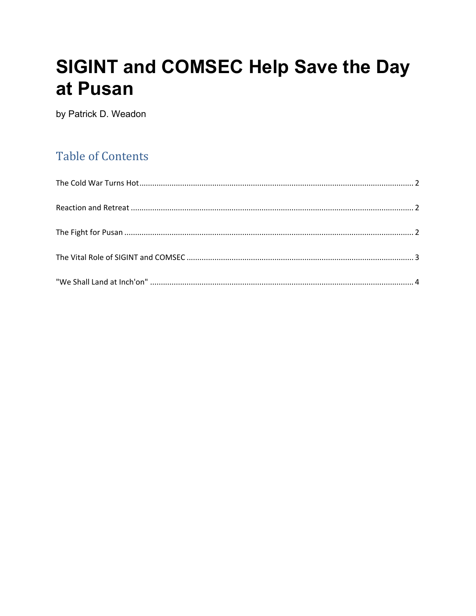# **SIGINT and COMSEC Help Save the Day** at Pusan

by Patrick D. Weadon

# **Table of Contents**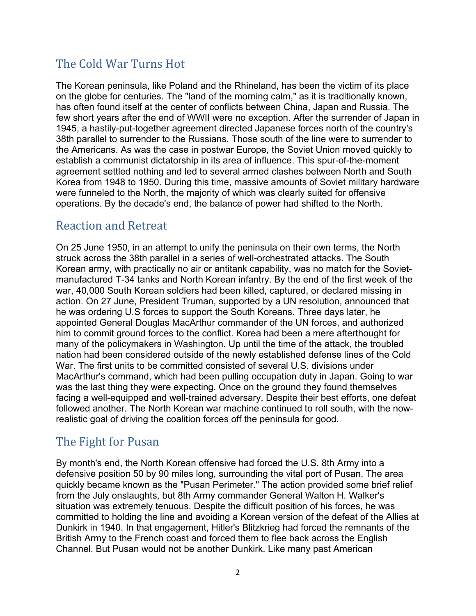# <span id="page-1-0"></span>The Cold War Turns Hot

The Korean peninsula, like Poland and the Rhineland, has been the victim of its place on the globe for centuries. The "land of the morning calm," as it is traditionally known, has often found itself at the center of conflicts between China, Japan and Russia. The few short years after the end of WWII were no exception. After the surrender of Japan in 1945, a hastily-put-together agreement directed Japanese forces north of the country's 38th parallel to surrender to the Russians. Those south of the line were to surrender to the Americans. As was the case in postwar Europe, the Soviet Union moved quickly to establish a communist dictatorship in its area of influence. This spur-of-the-moment agreement settled nothing and led to several armed clashes between North and South Korea from 1948 to 1950. During this time, massive amounts of Soviet military hardware were funneled to the North, the majority of which was clearly suited for offensive operations. By the decade's end, the balance of power had shifted to the North.

#### <span id="page-1-1"></span>Reaction and Retreat

On 25 June 1950, in an attempt to unify the peninsula on their own terms, the North struck across the 38th parallel in a series of well-orchestrated attacks. The South Korean army, with practically no air or antitank capability, was no match for the Sovietmanufactured T-34 tanks and North Korean infantry. By the end of the first week of the war, 40,000 South Korean soldiers had been killed, captured, or declared missing in action. On 27 June, President Truman, supported by a UN resolution, announced that he was ordering U.S forces to support the South Koreans. Three days later, he appointed General Douglas MacArthur commander of the UN forces, and authorized him to commit ground forces to the conflict. Korea had been a mere afterthought for many of the policymakers in Washington. Up until the time of the attack, the troubled nation had been considered outside of the newly established defense lines of the Cold War. The first units to be committed consisted of several U.S. divisions under MacArthur's command, which had been pulling occupation duty in Japan. Going to war was the last thing they were expecting. Once on the ground they found themselves facing a well-equipped and well-trained adversary. Despite their best efforts, one defeat followed another. The North Korean war machine continued to roll south, with the nowrealistic goal of driving the coalition forces off the peninsula for good.

## <span id="page-1-2"></span>The Fight for Pusan

By month's end, the North Korean offensive had forced the U.S. 8th Army into a defensive position 50 by 90 miles long, surrounding the vital port of Pusan. The area quickly became known as the "Pusan Perimeter." The action provided some brief relief from the July onslaughts, but 8th Army commander General Walton H. Walker's situation was extremely tenuous. Despite the difficult position of his forces, he was committed to holding the line and avoiding a Korean version of the defeat of the Allies at Dunkirk in 1940. In that engagement, Hitler's Blitzkrieg had forced the remnants of the British Army to the French coast and forced them to flee back across the English Channel. But Pusan would not be another Dunkirk. Like many past American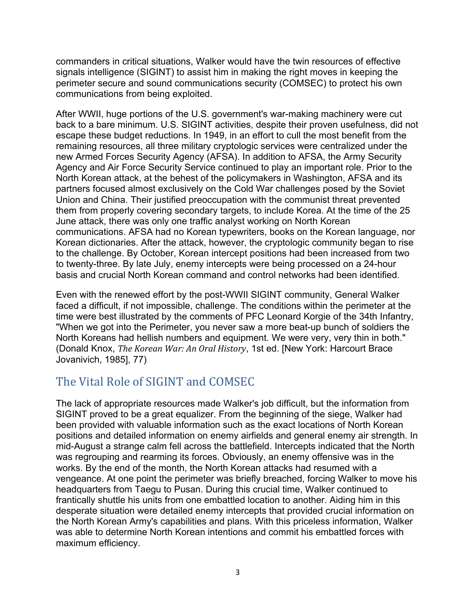commanders in critical situations, Walker would have the twin resources of effective signals intelligence (SIGINT) to assist him in making the right moves in keeping the perimeter secure and sound communications security (COMSEC) to protect his own communications from being exploited.

After WWII, huge portions of the U.S. government's war-making machinery were cut back to a bare minimum. U.S. SIGINT activities, despite their proven usefulness, did not escape these budget reductions. In 1949, in an effort to cull the most benefit from the remaining resources, all three military cryptologic services were centralized under the new Armed Forces Security Agency (AFSA). In addition to AFSA, the Army Security Agency and Air Force Security Service continued to play an important role. Prior to the North Korean attack, at the behest of the policymakers in Washington, AFSA and its partners focused almost exclusively on the Cold War challenges posed by the Soviet Union and China. Their justified preoccupation with the communist threat prevented them from properly covering secondary targets, to include Korea. At the time of the 25 June attack, there was only one traffic analyst working on North Korean communications. AFSA had no Korean typewriters, books on the Korean language, nor Korean dictionaries. After the attack, however, the cryptologic community began to rise to the challenge. By October, Korean intercept positions had been increased from two to twenty-three. By late July, enemy intercepts were being processed on a 24-hour basis and crucial North Korean command and control networks had been identified.

Even with the renewed effort by the post-WWII SIGINT community, General Walker faced a difficult, if not impossible, challenge. The conditions within the perimeter at the time were best illustrated by the comments of PFC Leonard Korgie of the 34th Infantry, "When we got into the Perimeter, you never saw a more beat-up bunch of soldiers the North Koreans had hellish numbers and equipment. We were very, very thin in both." (Donald Knox, *The Korean War: An Oral History*, 1st ed. [New York: Harcourt Brace Jovanivich, 1985], 77)

## <span id="page-2-0"></span>The Vital Role of SIGINT and COMSEC

The lack of appropriate resources made Walker's job difficult, but the information from SIGINT proved to be a great equalizer. From the beginning of the siege, Walker had been provided with valuable information such as the exact locations of North Korean positions and detailed information on enemy airfields and general enemy air strength. In mid-August a strange calm fell across the battlefield. Intercepts indicated that the North was regrouping and rearming its forces. Obviously, an enemy offensive was in the works. By the end of the month, the North Korean attacks had resumed with a vengeance. At one point the perimeter was briefly breached, forcing Walker to move his headquarters from Taegu to Pusan. During this crucial time, Walker continued to frantically shuttle his units from one embattled location to another. Aiding him in this desperate situation were detailed enemy intercepts that provided crucial information on the North Korean Army's capabilities and plans. With this priceless information, Walker was able to determine North Korean intentions and commit his embattled forces with maximum efficiency.